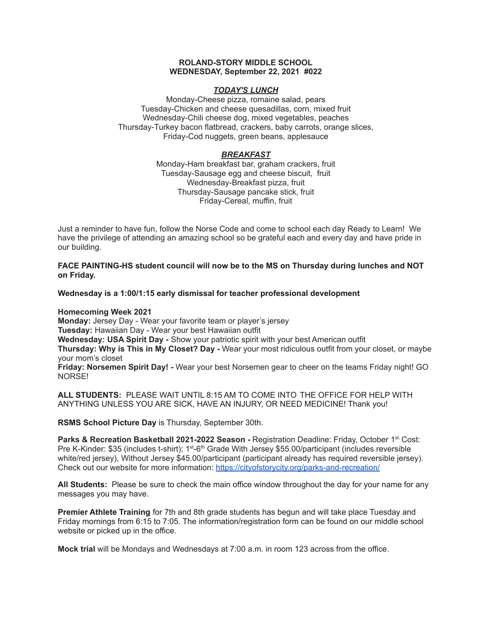## **ROLAND-STORY MIDDLE SCHOOL WEDNESDAY, September 22, 2021 #022**

## *TODAY'S LUNCH*

Monday-Cheese pizza, romaine salad, pears Tuesday-Chicken and cheese quesadillas, corn, mixed fruit Wednesday-Chili cheese dog, mixed vegetables, peaches Thursday-Turkey bacon flatbread, crackers, baby carrots, orange slices, Friday-Cod nuggets, green beans, applesauce

# *BREAKFAST*

Monday-Ham breakfast bar, graham crackers, fruit Tuesday-Sausage egg and cheese biscuit, fruit Wednesday-Breakfast pizza, fruit Thursday-Sausage pancake stick, fruit Friday-Cereal, muffin, fruit

Just a reminder to have fun, follow the Norse Code and come to school each day Ready to Learn! We have the privilege of attending an amazing school so be grateful each and every day and have pride in our building.

**FACE PAINTING-HS student council will now be to the MS on Thursday during lunches and NOT on Friday.**

**Wednesday is a 1:00/1:15 early dismissal for teacher professional development**

**Homecoming Week 2021**

**Monday:** Jersey Day - Wear your favorite team or player's jersey **Tuesday:** Hawaiian Day - Wear your best Hawaiian outfit **Wednesday: USA Spirit Day -** Show your patriotic spirit with your best American outfit

**Thursday: Why is This in My Closet? Day -** Wear your most ridiculous outfit from your closet, or maybe your mom's closet

**Friday: Norsemen Spirit Day! -** Wear your best Norsemen gear to cheer on the teams Friday night! GO NORSE!

**ALL STUDENTS:** PLEASE WAIT UNTIL 8:15 AM TO COME INTO THE OFFICE FOR HELP WITH ANYTHING UNLESS YOU ARE SICK, HAVE AN INJURY, OR NEED MEDICINE! Thank you!

**RSMS School Picture Day** is Thursday, September 30th.

**Parks & Recreation Basketball 2021-2022 Season -** Registration Deadline: Friday, October 1 st. Cost: Pre K-Kinder: \$35 (includes t-shirt); 1<sup>st</sup>-6<sup>th</sup> Grade With Jersey \$55.00/participant (includes reversible white/red jersey), Without Jersey \$45.00/participant (participant already has required reversible jersey). Check out our website for more information: <https://cityofstorycity.org/parks-and-recreation/>

**All Students:** Please be sure to check the main office window throughout the day for your name for any messages you may have.

**Premier Athlete Training** for 7th and 8th grade students has begun and will take place Tuesday and Friday mornings from 6:15 to 7:05. The information/registration form can be found on our middle school website or picked up in the office.

**Mock trial** will be Mondays and Wednesdays at 7:00 a.m. in room 123 across from the office.